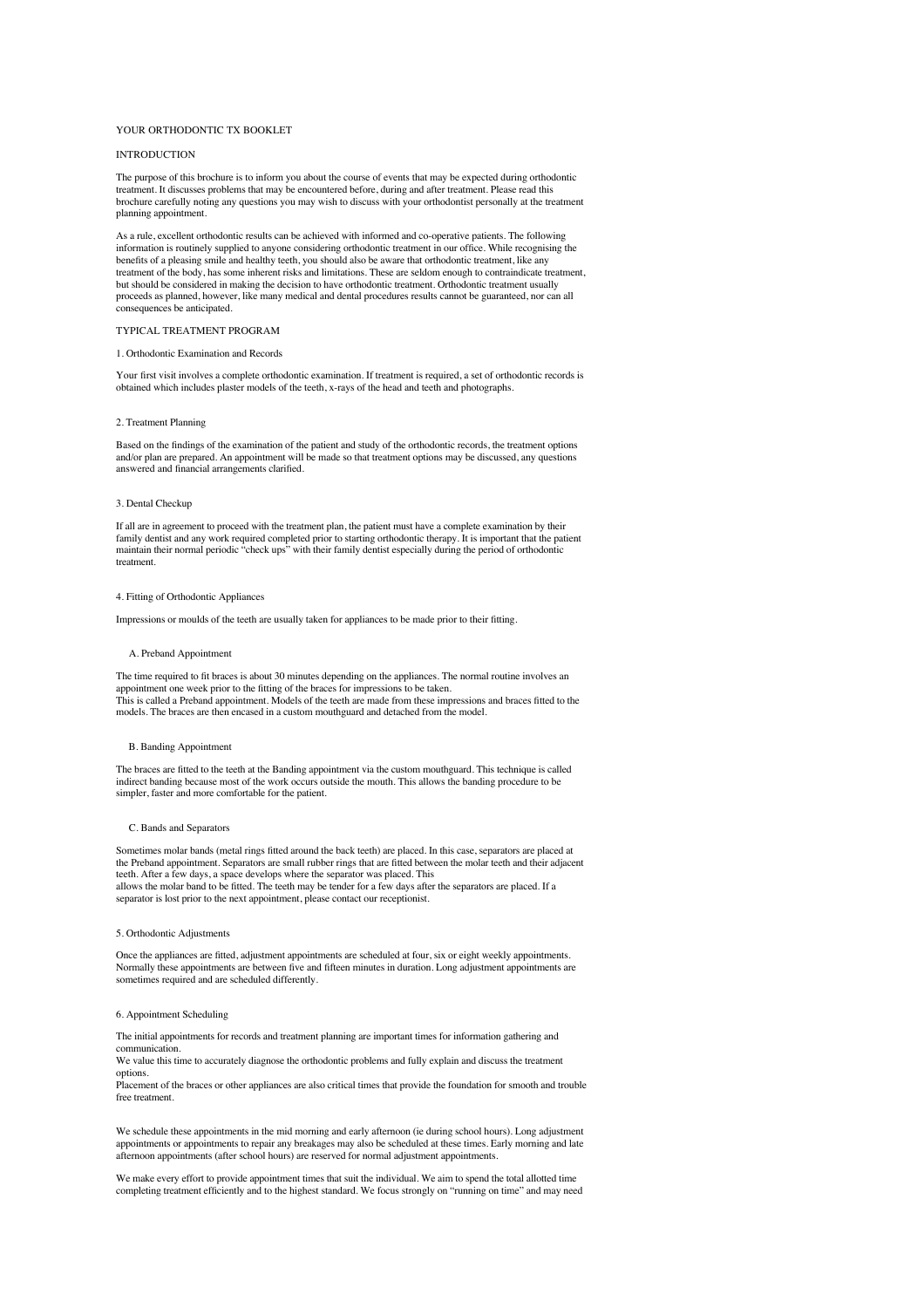# YOUR ORTHODONTIC TX BOOKLET

# **INTRODUCTION**

The purpose of this brochure is to inform you about the course of events that may be expected during orthodontic treatment. It discusses problems that may be encountered before, during and after treatment. Please read this<br>brochure carefully noting any questions you may wish to discuss with your orthodontist personally at the treatme planning appointment.

As a rule, excellent orthodontic results can be achieved with informed and co-operative patients. The following information is routinely supplied to anyone considering orthodontic treatment in our office. While recognising the benefits of a pleasing smile and healthy teeth, you should also be aware that orthodontic treatment, like any treatment of the body, has some inherent risks and limitations. These are seldom enough to contraindicate treatment,<br>but should be considered in making the decision to have orthodontic treatment. Orthodontic treatment usua proceeds as planned, however, like many medical and dental procedures results cannot be guaranteed, nor can all consequences be anticipated.

# TYPICAL TREATMENT PROGRAM

#### 1. Orthodontic Examination and Records

Your first visit involves a complete orthodontic examination. If treatment is required, a set of orthodontic records is obtained which includes plaster models of the teeth, x-rays of the head and teeth and photographs.

#### 2. Treatment Planning

Based on the findings of the examination of the patient and study of the orthodontic records, the treatment options and/or plan are prepared. An appointment will be made so that treatment options may be discussed, any questions answered and financial arrangements clarified.

# 3. Dental Checkup

If all are in agreement to proceed with the treatment plan, the patient must have a complete examination by their family dentist and any work required completed prior to starting orthodontic therapy. It is important that the patient<br>maintain their normal periodic "check ups" with their family dentist especially during the period of or treatment.

## 4. Fitting of Orthodontic Appliances

Impressions or moulds of the teeth are usually taken for appliances to be made prior to their fitting.

#### A. Preband Appointmen

The time required to fit braces is about 30 minutes depending on the appliances. The normal routine involves an appointment one week prior to the fitting of the braces for impressions to be taken. This is called a Preband appointment. Models of the teeth are made from these impressions and braces fitted to the models. The braces are then encased in a custom mouthguard and detached from the model.

# B. Banding Appointment

The braces are fitted to the teeth at the Banding appointment via the custom mouthguard. This technique is called indirect banding because most of the work occurs outside the mouth. This allows the banding procedure to be simpler, faster and more comfortable for the patient.

#### C. Bands and Separators

Sometimes molar bands (metal rings fitted around the back teeth) are placed. In this case, separators are placed at the Preband appointment. Separators are small rubber rings that are fitted between the molar teeth and their adjacent teeth. After a few days, a space develops where the separator was placed. This allows the molar band to be fitted. The teeth may be tender for a few days after the separators are placed. If a separator is lost prior to the next appointment, please contact our receptionist.

#### 5. Orthodontic Adjustments

Once the appliances are fitted, adjustment appointments are scheduled at four, six or eight weekly appointments. Normally these appointments are between five and fifteen minutes in duration. Long adjustment appointments are sometimes required and are scheduled differently.

## 6. Appointment Scheduling

The initial appointments for records and treatment planning are important times for information gathering and communication.

We value this time to accurately diagnose the orthodontic problems and fully explain and discuss the treatment options.

Placement of the braces or other appliances are also critical times that provide the foundation for smooth and trouble free treatment.

We schedule these appointments in the mid morning and early afternoon (ie during school hours). Long adjustment appointments or appointments to repair any breakages may also be scheduled at these times. Early morning and late afternoon appointments (after school hours) are reserved for normal adjustment appointments.

We make every effort to provide appointment times that suit the individual. We aim to spend the total allotted time<br>completing treatment efficiently and to the highest standard. We focus strongly on "running on time" and m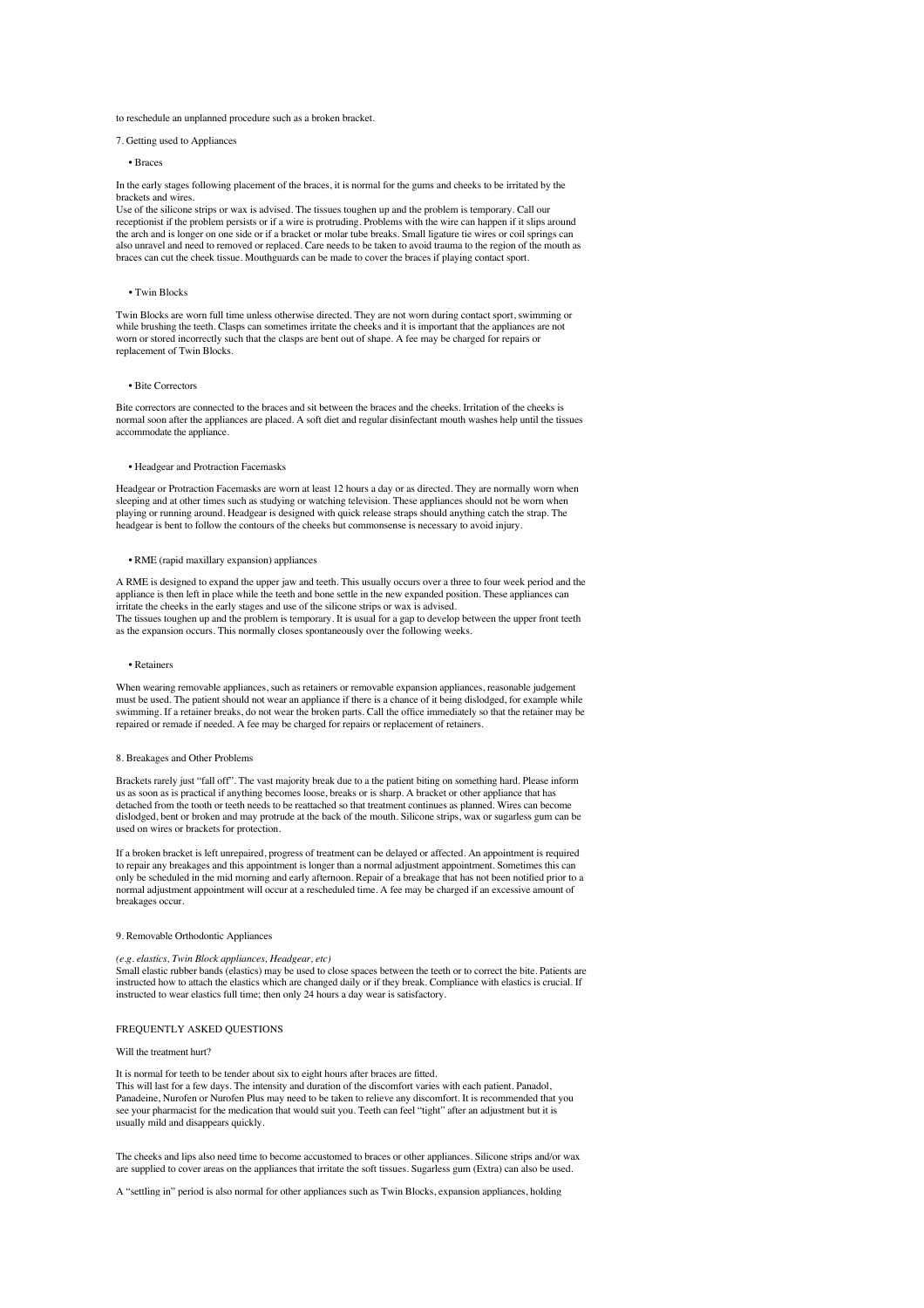## to reschedule an unplanned procedure such as a broken bracket.

## 7. Getting used to Appliances

# • Braces

In the early stages following placement of the braces, it is normal for the gums and cheeks to be irritated by the brackets and wires.

Use of the silicone strips or wax is advised. The tissues toughen up and the problem is temporary. Call our receptionist if the problem persists or if a wire is protruding. Problems with the wire can happen if it slips around the arch and is longer on one side or if a bracket or molar tube breaks. Small ligature tie wires or coil springs can also unravel and need to removed or replaced. Care needs to be taken to avoid trauma to the region of the mouth as braces can cut the cheek tissue. Mouthguards can be made to cover the braces if playing contact sport.

## • Twin Blocks

Twin Blocks are worn full time unless otherwise directed. They are not worn during contact sport, swimming or while brushing the teeth. Clasps can sometimes irritate the cheeks and it is important that the appliances are not worn or stored incorrectly such that the clasps are bent out of shape. A fee may be charged for repairs or replacement of Twin Blocks.

#### • Bite Correctors

Bite correctors are connected to the braces and sit between the braces and the cheeks. Irritation of the cheeks is normal soon after the appliances are placed. A soft diet and regular disinfectant mouth washes help until the tissues accommodate the appliance.

# • Headgear and Protraction Facemasks

Headgear or Protraction Facemasks are worn at least 12 hours a day or as directed. They are normally worn when sleeping and at other times such as studying or watching television. These appliances should not be worn when playing or running around. Headgear is designed with quick release straps should anything catch the strap. The headgear is bent to follow the contours of the cheeks but commonsense is necessary to avoid injury.

#### • RME (rapid maxillary expansion) appliances

A RME is designed to expand the upper jaw and teeth. This usually occurs over a three to four week period and the appliance is then left in place while the teeth and bone settle in the new expanded position. These appliances can  $\frac{1}{1}$  irritate the cheeks in the early stages and use of the silicone strips or wax is advised. The tissues toughen up and the problem is temporary. It is usual for a gap to develop between the upper front teeth as the expansion occurs. This normally closes spontaneously over the following weeks.

#### • Retainers

When wearing removable appliances, such as retainers or removable expansion appliances, reasonable judgement must be used. The patient should not wear an appliance if there is a chance of it being dislodged, for example while<br>swimming. If a retainer breaks, do not wear the broken parts. Call the office immediately so that the ret repaired or remade if needed. A fee may be charged for repairs or replacement of retainers.

#### 8. Breakages and Other Problems

Brackets rarely just "fall off". The vast majority break due to a the patient biting on something hard. Please inform us as soon as is practical if anything becomes loose, breaks or is sharp. A bracket or other appliance that has detached from the tooth or teeth needs to be reattached so that treatment continues as planned. Wires can become dislodged, bent or broken and may protrude at the back of the mouth. Silicone strips, wax or sugarless gum can be used on wires or brackets for protection.

If a broken bracket is left unrepaired, progress of treatment can be delayed or affected. An appointment is required to repair any breakages and this appointment is longer than a normal adjustment appointment. Sometimes this can<br>only be scheduled in the mid morning and early afternoon. Repair of a breakage that has not been notified prio normal adjustment appointment will occur at a rescheduled time. A fee may be charged if an excessive amount of breakages occur.

## 9. Removable Orthodontic Appliances

# *(e.g. elastics, Twin Block appliances, Headgear, etc)*

Small elastic rubber bands (elastics) may be used to close spaces between the teeth or to correct the bite. Patients are instructed how to attach the elastics which are changed daily or if they break. Compliance with elastics is crucial. If instructed to wear elastics full time; then only 24 hours a day wear is satisfactory.

# FREQUENTLY ASKED QUESTIONS

#### Will the treatment hurt?

It is normal for teeth to be tender about six to eight hours after braces are fitted. This will last for a few days. The intensity and duration of the discomfort varies with each patient. Panadol, Panadeine, Nurofen or Nurofen Plus may need to be taken to relieve any discomfort. It is recommended that you see your pharmacist for the medication that would suit you. Teeth can feel "tight" after an adjustment but it is usually mild and disappears quickly.

The cheeks and lips also need time to become accustomed to braces or other appliances. Silicone strips and/or wax are supplied to cover areas on the appliances that irritate the soft tissues. Sugarless gum (Extra) can also be used.

A "settling in" period is also normal for other appliances such as Twin Blocks, expansion appliances, holding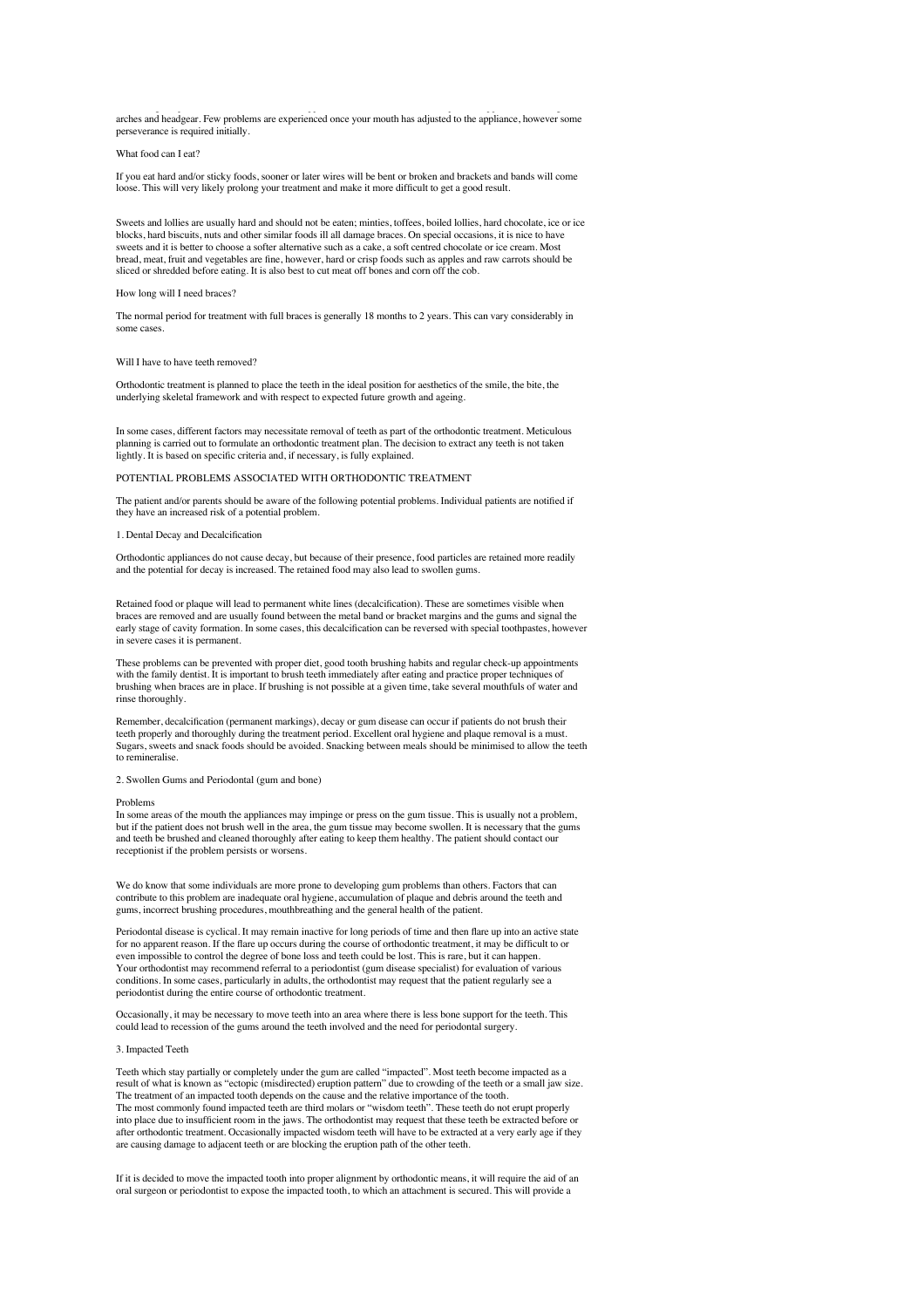arches and headgear. Few problems are experienced once your mouth has adjusted to the appliance, however some perseverance is required initially.

What food can I eat?

If you eat hard and/or sticky foods, sooner or later wires will be bent or broken and brackets and bands will come loose. This will very likely prolong your treatment and make it more difficult to get a good result.

Sweets and lollies are usually hard and should not be eaten; minties, toffees, boiled lollies, hard chocolate, ice or ice blocks, hard biscuits, nuts and other similar foods ill all damage braces. On special occasions, it is nice to have sweets and it is better to choose a softer alternative such as a cake, a soft centred chocolate or ice cream. Most bread, meat, fruit and vegetables are fine, however, hard or crisp foods such as apples and raw carrots should be sliced or shredded before eating. It is also best to cut meat off bones and corn off the cob.

# How long will I need braces?

The normal period for treatment with full braces is generally 18 months to 2 years. This can vary considerably in some cases.

#### Will I have to have teeth removed?

Orthodontic treatment is planned to place the teeth in the ideal position for aesthetics of the smile, the bite, the underlying skeletal framework and with respect to expected future growth and ageing.

In some cases, different factors may necessitate removal of teeth as part of the orthodontic treatment. Meticulous planning is carried out to formulate an orthodontic treatment plan. The decision to extract any teeth is not taken lightly. It is based on specific criteria and, if necessary, is fully explained.

## POTENTIAL PROBLEMS ASSOCIATED WITH ORTHODONTIC TREATMENT

The patient and/or parents should be aware of the following potential problems. Individual patients are notified if they have an increased risk of a potential problem.

#### 1. Dental Decay and Decalcification

Orthodontic appliances do not cause decay, but because of their presence, food particles are retained more readily and the potential for decay is increased. The retained food may also lead to swollen gums.

Retained food or plaque will lead to permanent white lines (decalcification). These are sometimes visible when braces are removed and are usually found between the metal band or bracket margins and the gums and signal the early stage of cavity formation. In some cases, this decalcification can be reversed with special toothpastes, however in severe cases it is permanent.

These problems can be prevented with proper diet, good tooth brushing habits and regular check-up appointments with the family dentist. It is important to brush teeth immediately after eating and practice proper techniques of brushing when braces are in place. If brushing is not possible at a given time, take several mouthfuls of water and rinse thoroughly.

Remember, decalcification (permanent markings), decay or gum disease can occur if patients do not brush their teeth properly and thoroughly during the treatment period. Excellent oral hygiene and plaque removal is a must. Sugars, sweets and snack foods should be avoided. Snacking between meals should be minimised to allow the teeth to remineralise

#### 2. Swollen Gums and Periodontal (gum and bone)

#### Problems

In some areas of the mouth the appliances may impinge or press on the gum tissue. This is usually not a problem, but if the patient does not brush well in the area, the gum tissue may become swollen. It is necessary that the gums and teeth be brushed and cleaned thoroughly after eating to keep them healthy. The patient should contact our receptionist if the problem persists or worsens.

We do know that some individuals are more prone to developing gum problems than others. Factors that can contribute to this problem are inadequate oral hygiene, accumulation of plaque and debris around the teeth and gums, incorrect brushing procedures, mouthbreathing and the general health of the patient.

Periodontal disease is cyclical. It may remain inactive for long periods of time and then flare up into an active state for no apparent reason. If the flare up occurs during the course of orthodontic treatment, it may be difficult to or even impossible to control the degree of bone loss and teeth could be lost. This is rare, but it can happen. Your orthodontist may recommend referral to a periodontist (gum disease specialist) for evaluation of various conditions. In some cases, particularly in adults, the orthodontist may request that the patient regularly see a periodontist during the entire course of orthodontic treatment.

Occasionally, it may be necessary to move teeth into an area where there is less bone support for the teeth. This could lead to recession of the gums around the teeth involved and the need for periodontal surgery.

#### 3. Impacted Teeth

Teeth which stay partially or completely under the gum are called "impacted". Most teeth become impacted as a result of what is known as "ectopic (misdirected) eruption pattern" due to crowding of the teeth or a small jaw size. The treatment of an impacted tooth depends on the cause and the relative importance of the tooth. The most commonly found impacted teeth are third molars or "wisdom teeth". These teeth do not erupt properly into place due to insufficient room in the jaws. The orthodontist may request that these teeth be extracted before or after orthodontic treatment. Occasionally impacted wisdom teeth will have to be extracted at a very early age if they are causing damage to adjacent teeth or are blocking the eruption path of the other teeth.

If it is decided to move the impacted tooth into proper alignment by orthodontic means, it will require the aid of an oral surgeon or periodontist to expose the impacted tooth, to which an attachment is secured. This will provide a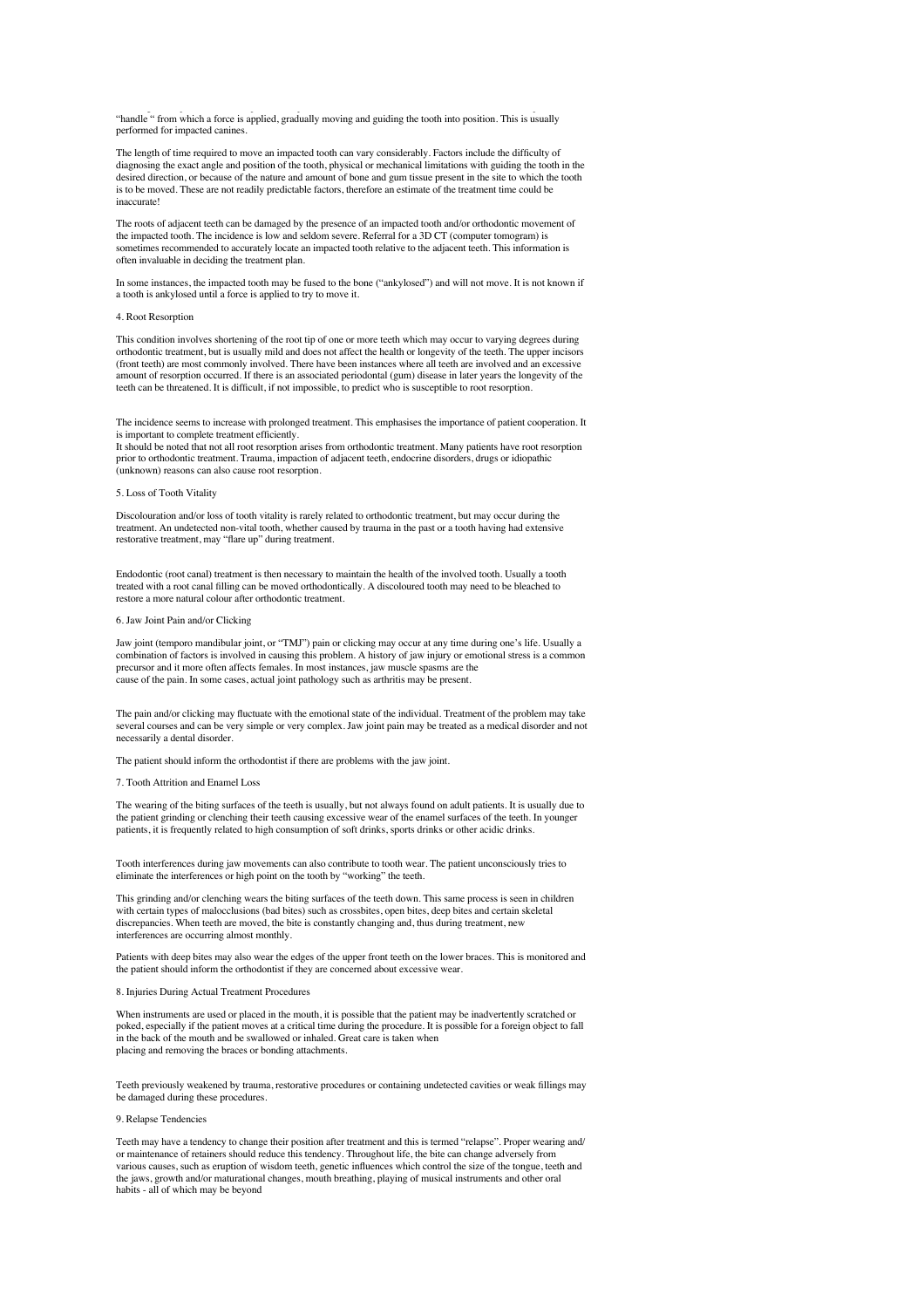"handle " from which a force is applied, gradually moving and guiding the tooth into position. This is usually performed for impacted canine

The length of time required to move an impacted tooth can vary considerably. Factors include the difficulty of diagnosing the exact angle and position of the tooth, physical or mechanical limitations with guiding the tooth in the desired direction, or because of the nature and amount of bone and gum tissue present in the site to which the tooth is to be moved. These are not readily predictable factors, therefore an estimate of the treatment time could be inaccurate!

The roots of adjacent teeth can be damaged by the presence of an impacted tooth and/or orthodontic movement of the impacted tooth. The incidence is low and seldom severe. Referral for a 3D CT (computer tomogram) is sometimes recommended to accurately locate an impacted tooth relative to the adjacent teeth. This information is often invaluable in deciding the treatment plan.

In some instances, the impacted tooth may be fused to the bone ("ankylosed") and will not move. It is not known if a tooth is ankylosed until a force is applied to try to move it.

## 4. Root Resorption

This condition involves shortening of the root tip of one or more teeth which may occur to varying degrees during orthodontic treatment, but is usually mild and does not affect the health or longevity of the teeth. The upper incisors (front teeth) are most commonly involved. There have been instances where all teeth are involved and an excessive amount of resorption occurred. If there is an associated periodontal (gum) disease in later years the longevity of the teeth can be threatened. It is difficult, if not impossible, to predict who is susceptible to root resorption.

The incidence seems to increase with prolonged treatment. This emphasises the importance of patient cooperation. It is important to complete treatment efficiently.

It should be noted that not all root resorption arises from orthodontic treatment. Many patients have root resorption prior to orthodontic treatment. Trauma, impaction of adjacent teeth, endocrine disorders, drugs or idiopathic (unknown) reasons can also cause root resorption.

#### 5. Loss of Tooth Vitality

Discolouration and/or loss of tooth vitality is rarely related to orthodontic treatment, but may occur during the treatment. An undetected non-vital tooth, whether caused by trauma in the past or a tooth having had extensive restorative treatment, may "flare up" during treatment.

Endodontic (root canal) treatment is then necessary to maintain the health of the involved tooth. Usually a tooth treated with a root canal filling can be moved orthodontically. A discoloured tooth may need to be bleached to restore a more natural colour after orthodontic treatment.

#### 6. Jaw Joint Pain and/or Clicking

Jaw joint (temporo mandibular joint, or "TMJ") pain or clicking may occur at any time during one's life. Usually a combination of factors is involved in causing this problem. A history of jaw injury or emotional stress is a common precursor and it more often affects females. In most instances, jaw muscle spasms are the cause of the pain. In some cases, actual joint pathology such as arthritis may be present.

The pain and/or clicking may fluctuate with the emotional state of the individual. Treatment of the problem may take several courses and can be very simple or very complex. Jaw joint pain may be treated as a medical disorder and not necessarily a dental disorder.

The patient should inform the orthodontist if there are problems with the jaw joint.

#### 7. Tooth Attrition and Enamel Loss

The wearing of the biting surfaces of the teeth is usually, but not always found on adult patients. It is usually due to the patient grinding or clenching their teeth causing excessive wear of the enamel surfaces of the teeth. In younger<br>patients, it is frequently related to high consumption of soft drinks, sports drinks or other acidic drin

Tooth interferences during jaw movements can also contribute to tooth wear. The patient unconsciously tries to eliminate the interferences or high point on the tooth by "working" the teeth.

This grinding and/or clenching wears the biting surfaces of the teeth down. This same process is seen in children with certain types of malocclusions (bad bites) such as crossbites, open bites, deep bites and certain skeletal discrepancies. When teeth are moved, the bite is constantly changing and, thus during treatment, new interferences are occurring almost monthly.

Patients with deep bites may also wear the edges of the upper front teeth on the lower braces. This is monitored and the patient should inform the orthodontist if they are concerned about excessive wear.

8. Injuries During Actual Treatment Procedures

When instruments are used or placed in the mouth, it is possible that the patient may be inadvertently scratched or poked, especially if the patient moves at a critical time during the procedure. It is possible for a foreign object to fall in the back of the mouth and be swallowed or inhaled. Great care is taken when placing and removing the braces or bonding attachments.

Teeth previously weakened by trauma, restorative procedures or containing undetected cavities or weak fillings may be damaged during these procedures.

## 9. Relapse Tendencies

Teeth may have a tendency to change their position after treatment and this is termed "relapse". Proper wearing and/ or maintenance of retainers should reduce this tendency. Throughout life, the bite can change adversely from various causes, such as eruption of wisdom teeth, genetic influences which control the size of the tongue, teeth and the jaws, growth and/or maturational changes, mouth breathing, playing of musical instruments and other oral habits - all of which may be beyond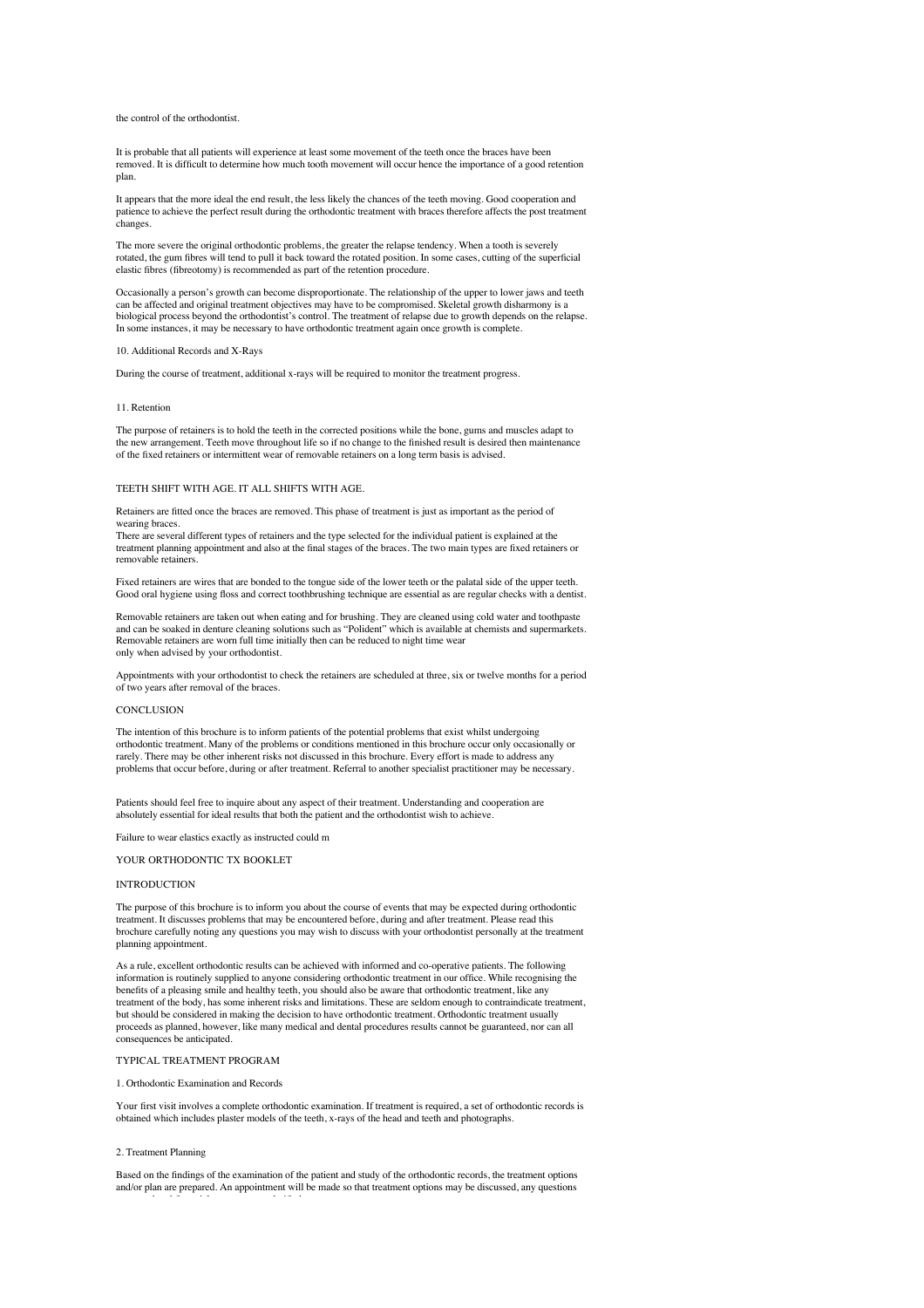# the control of the orthodontist.

It is probable that all patients will experience at least some movement of the teeth once the braces have been removed. It is difficult to determine how much tooth movement will occur hence the importance of a good retention plan.

It appears that the more ideal the end result, the less likely the chances of the teeth moving. Good cooperation and patience to achieve the perfect result during the orthodontic treatment with braces therefore affects the post treatment changes.

The more severe the original orthodontic problems, the greater the relapse tendency. When a tooth is severely rotated, the gum fibres will tend to pull it back toward the rotated position. In some cases, cutting of the superficial elastic fibres (fibreotomy) is recommended as part of the retention procedure.

Occasionally a person's growth can become disproportionate. The relationship of the upper to lower jaws and teeth can be affected and original treatment objectives may have to be compromised. Skeletal growth disharmony is a biological process beyond the orthodontist's control. The treatment of relapse due to growth depends on the relapse. In some instances, it may be necessary to have orthodontic treatment again once growth is complete.

#### 10. Additional Records and X-Rays

During the course of treatment, additional x-rays will be required to monitor the treatment progress.

#### 11. Retention

The purpose of retainers is to hold the teeth in the corrected positions while the bone, gums and muscles adapt to the new arrangement. Teeth move throughout life so if no change to the finished result is desired then maintenance of the fixed retainers or intermittent wear of removable retainers on a long term basis is advised.

## TEETH SHIFT WITH AGE. IT ALL SHIFTS WITH AGE.

Retainers are fitted once the braces are removed. This phase of treatment is just as important as the period of wearing braces.

There are several different types of retainers and the type selected for the individual patient is explained at the treatment planning appointment and also at the final stages of the braces. The two main types are fixed retainers or removable retainers.

Fixed retainers are wires that are bonded to the tongue side of the lower teeth or the palatal side of the upper teeth. Good oral hygiene using floss and correct toothbrushing technique are essential as are regular checks with a dentist.

Removable retainers are taken out when eating and for brushing. They are cleaned using cold water and toothpaste and can be soaked in denture cleaning solutions such as "Polident" which is available at chemists and supermarkets. Removable retainers are worn full time initially then can be reduced to night time wear only when advised by your orthodontist.

Appointments with your orthodontist to check the retainers are scheduled at three, six or twelve months for a period of two years after removal of the braces.

#### **CONCLUSION**

The intention of this brochure is to inform patients of the potential problems that exist whilst undergoing orthodontic treatment. Many of the problems or conditions mentioned in this brochure occur only occasionally or rarely. There may be other inherent risks not discussed in this brochure. Every effort is made to address any problems that occur before, during or after treatment. Referral to another specialist practitioner may be necessary.

Patients should feel free to inquire about any aspect of their treatment. Understanding and cooperation are absolutely essential for ideal results that both the patient and the orthodontist wish to achieve.

Failure to wear elastics exactly as instructed could m

# YOUR ORTHODONTIC TX BOOKLET

# INTRODUCTION

The purpose of this brochure is to inform you about the course of events that may be expected during orthodontic treatment. It discusses problems that may be encountered before, during and after treatment. Please read this brochure carefully noting any questions you may wish to discuss with your orthodontist personally at the treatment planning appointment.

As a rule, excellent orthodontic results can be achieved with informed and co-operative patients. The following information is routinely supplied to anyone considering orthodontic treatment in our office. While recognising the benefits of a pleasing smile and healthy teeth, you should also be aware that orthodontic treatment, like any treatment of the body, has some inherent risks and limitations. These are seldom enough to contraindicate treat but should be considered in making the decision to have orthodontic treatment. Orthodontic treatment usually proceeds as planned, however, like many medical and dental procedures results cannot be guaranteed, nor can all consequences be anticipated.

# TYPICAL TREATMENT PROGRAM

#### 1. Orthodontic Examination and Records

answered and financial arrangements clarified.

Your first visit involves a complete orthodontic examination. If treatment is required, a set of orthodontic records is obtained which includes plaster models of the teeth, x-rays of the head and teeth and photographs.

#### 2. Treatment Planning

Based on the findings of the examination of the patient and study of the orthodontic records, the treatment options and/or plan are prepared. An appointment will be made so that treatment options may be discussed, any questions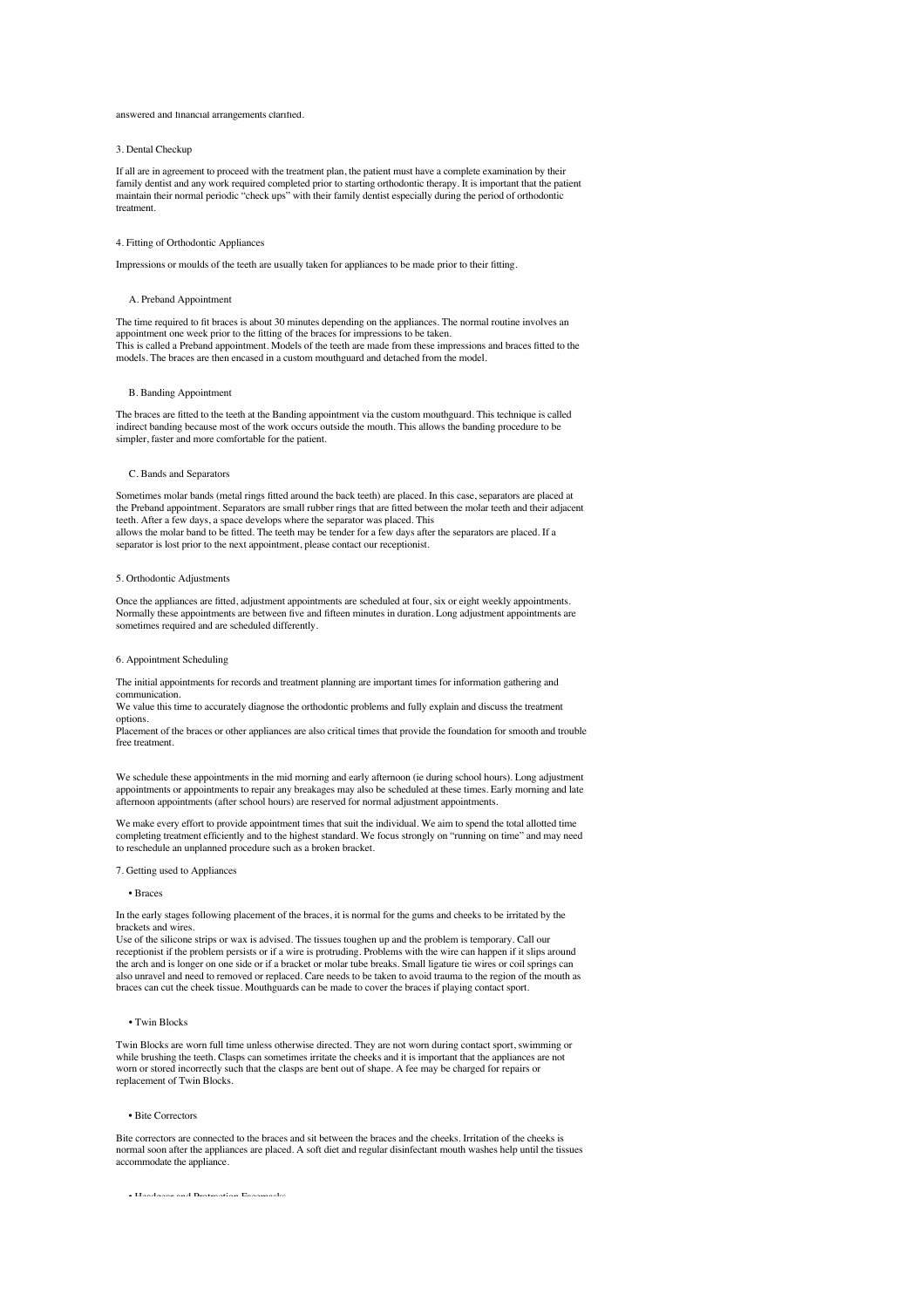#### answered and financial arrangements clarified.

# 3. Dental Checkup

If all are in agreement to proceed with the treatment plan, the patient must have a complete examination by their family dentist and any work required completed prior to starting orthodontic therapy. It is important that the patient maintain their normal periodic "check ups" with their family dentist especially during the period of orthodontic treatment.

#### 4. Fitting of Orthodontic Appliances

Impressions or moulds of the teeth are usually taken for appliances to be made prior to their fitting.

#### A. Preband Appointment

The time required to fit braces is about 30 minutes depending on the appliances. The normal routine involves an appointment one week prior to the fitting of the braces for impressions to be taken. This is called a Preband appointment. Models of the teeth are made from these impressions and braces fitted to the models. The braces are then encased in a custom mouthguard and detached from the model.

## B. Banding Appointment

The braces are fitted to the teeth at the Banding appointment via the custom mouthguard. This technique is called indirect banding because most of the work occurs outside the mouth. This allows the banding procedure to be simpler, faster and more comfortable for the patient.

## C. Bands and Separators

Sometimes molar bands (metal rings fitted around the back teeth) are placed. In this case, separators are placed at the Preband appointment. Separators are small rubber rings that are fitted between the molar teeth and their adjacent teeth. After a few days, a space develops where the separator was placed. This allows the molar band to be fitted. The teeth may be tender for a few days after the separators are placed. If a separator is lost prior to the next appointment, please contact our receptionist.

## 5. Orthodontic Adjustments

Once the appliances are fitted, adjustment appointments are scheduled at four, six or eight weekly appointments. Normally these appointments are between five and fifteen minutes in duration. Long adjustment appointments are sometimes required and are scheduled differently.

# 6. Appointment Scheduling

The initial appointments for records and treatment planning are important times for information gathering and communication.

We value this time to accurately diagnose the orthodontic problems and fully explain and discuss the treatment options.

Placement of the braces or other appliances are also critical times that provide the foundation for smooth and trouble free treatment.

We schedule these appointments in the mid morning and early afternoon (ie during school hours). Long adjustment appointments or appointments to repair any breakages may also be scheduled at these times. Early morning and late afternoon appointments (after school hours) are reserved for normal adjustment appointments.

We make every effort to provide appointment times that suit the individual. We aim to spend the total allotted time completing treatment efficiently and to the highest standard. We focus strongly on "running on time" and may need to reschedule an unplanned procedure such as a broken bracket.

#### 7. Getting used to Appliances

## • Braces

In the early stages following placement of the braces, it is normal for the gums and cheeks to be irritated by the brackets and wires.

Use of the silicone strips or wax is advised. The tissues toughen up and the problem is temporary. Call our receptionist if the problem persists or if a wire is protruding. Problems with the wire can happen if it slips around the arch and is longer on one side or if a bracket or molar tube breaks. Small ligature tie wires or coil springs can also unravel and need to removed or replaced. Care needs to be taken to avoid trauma to the region of the mouth as braces can cut the cheek tissue. Mouthguards can be made to cover the braces if playing contact sport.

#### • Twin Blocks

Twin Blocks are worn full time unless otherwise directed. They are not worn during contact sport, swimming or while brushing the teeth. Clasps can sometimes irritate the cheeks and it is important that the appliances are not worn or stored incorrectly such that the clasps are bent out of shape. A fee may be charged for repairs or replacement of Twin Blocks.

#### • Bite Correctors

Bite correctors are connected to the braces and sit between the braces and the cheeks. Irritation of the cheeks is normal soon after the appliances are placed. A soft diet and regular disinfectant mouth washes help until the tissues accommodate the appliance.

• Headgear and Protraction Facemasks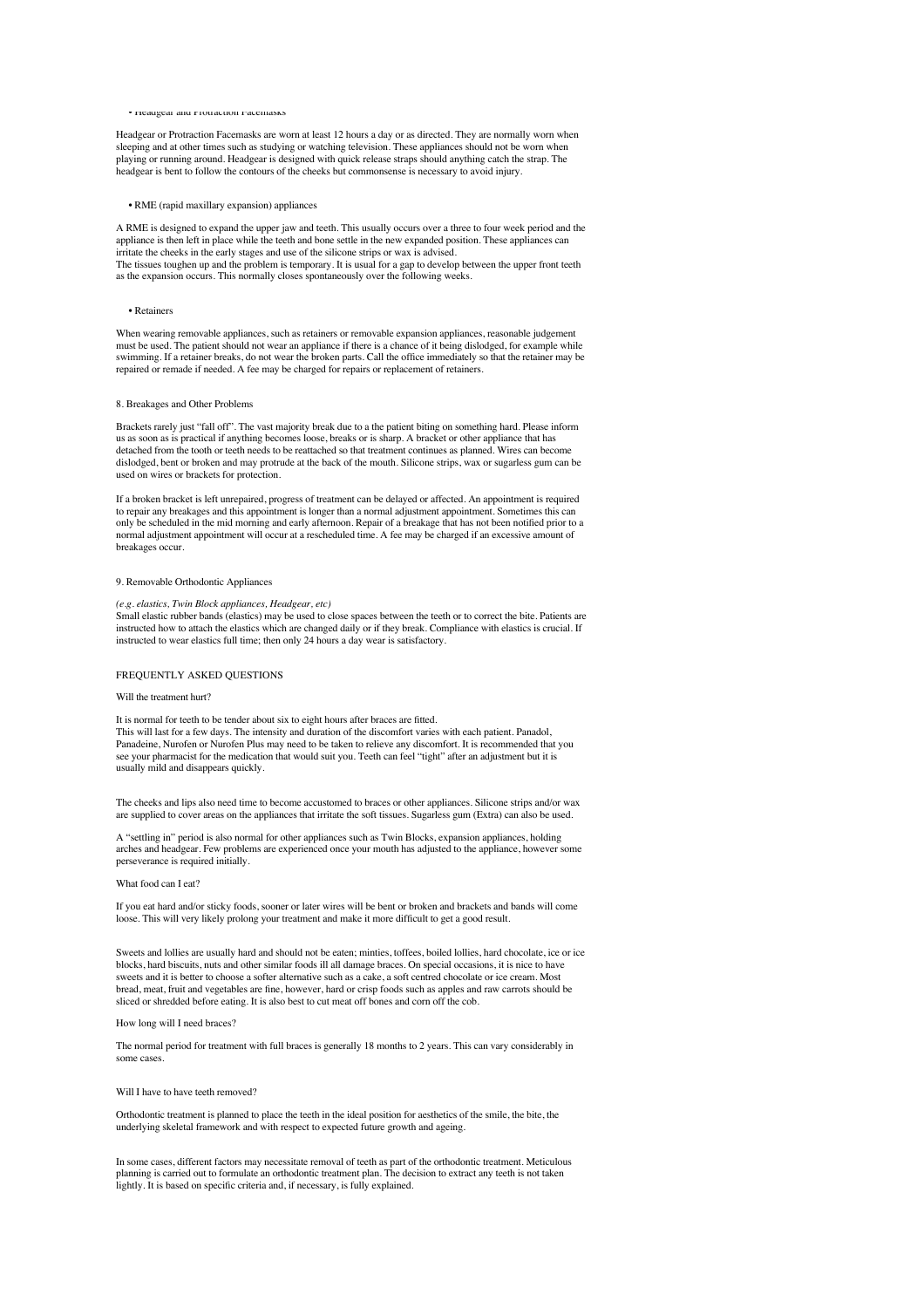## • Headgear and Protraction Facemasks

Headgear or Protraction Facemasks are worn at least 12 hours a day or as directed. They are normally worn when sleeping and at other times such as studying or watching television. These appliances should not be worn when playing or running around. Headgear is designed with quick release straps should anything catch the strap. The headgear is bent to follow the contours of the cheeks but commonsense is necessary to avoid injury.

#### • RME (rapid maxillary expansion) appliances

A RME is designed to expand the upper jaw and teeth. This usually occurs over a three to four week period and the appliance is then left in place while the teeth and bone settle in the new expanded position. These appliances can irritate the cheeks in the early stages and use of the silicone strips or wax is advised. The tissues toughen up and the problem is temporary. It is usual for a gap to develop between the upper front teeth as the expansion occurs. This normally closes spontaneously over the following weeks.

#### • Retainers

When wearing removable appliances, such as retainers or removable expansion appliances, reasonable judgement must be used. The patient should not wear an appliance if there is a chance of it being dislodged, for example while<br>swimming. If a retainer breaks, do not wear the broken parts. Call the office immediately so that the ret repaired or remade if needed. A fee may be charged for repairs or replacement of retainers.

#### 8. Breakages and Other Problems

Brackets rarely just "fall off". The vast majority break due to a the patient biting on something hard. Please inform us as soon as is practical if anything becomes loose, breaks or is sharp. A bracket or other appliance that has detached from the tooth or teeth needs to be reattached so that treatment continues as planned. Wires can become dislodged, bent or broken and may protrude at the back of the mouth. Silicone strips, wax or sugarless gum can be used on wires or brackets for protection.

If a broken bracket is left unrepaired, progress of treatment can be delayed or affected. An appointment is required to repair any breakages and this appointment is longer than a normal adjustment appointment. Sometimes this can only be scheduled in the mid morning and early afternoon. Repair of a breakage that has not been notified prior to a normal adjustment appointment will occur at a rescheduled time. A fee may be charged if an excessive amount of breakages occur.

#### 9. Removable Orthodontic Appliances

# *(e.g. elastics, Twin Block appliances, Headgear, etc)*

Small elastic rubber bands (elastics) may be used to close spaces between the teeth or to correct the bite. Patients are instructed how to attach the elastics which are changed daily or if they break. Compliance with elastics is crucial. If instructed to wear elastics full time; then only 24 hours a day wear is satisfactory.

# FREQUENTLY ASKED QUESTIONS

#### Will the treatment hurt?

It is normal for teeth to be tender about six to eight hours after braces are fitted. This will last for a few days. The intensity and duration of the discomfort varies with each patient. Panadol, Panadeine, Nurofen or Nurofen Plus may need to be taken to relieve any discomfort. It is recommended that you see your pharmacist for the medication that would suit you. Teeth can feel "tight" after an adjustment but it is usually mild and disappears quickly.

The cheeks and lips also need time to become accustomed to braces or other appliances. Silicone strips and/or wax are supplied to cover areas on the appliances that irritate the soft tissues. Sugarless gum (Extra) can also be used.

A "settling in" period is also normal for other appliances such as Twin Blocks, expansion appliances, holding arches and headgear. Few problems are experienced once your mouth has adjusted to the appliance, however some perseverance is required initially.

#### What food can I eat?

If you eat hard and/or sticky foods, sooner or later wires will be bent or broken and brackets and bands will come loose. This will very likely prolong your treatment and make it more difficult to get a good result.

Sweets and lollies are usually hard and should not be eaten; minties, toffees, boiled lollies, hard chocolate, ice or ice<br>blocks, hard biscuits, nuts and other similar foods ill all damage braces. On special occasions, it sweets and it is better to choose a softer alternative such as a cake, a soft centred chocolate or ice cream. Most bread, meat, fruit and vegetables are fine, however, hard or crisp foods such as apples and raw carrots should be sliced or shredded before eating. It is also best to cut meat off bones and corn off the cob.

## How long will I need braces?

The normal period for treatment with full braces is generally 18 months to 2 years. This can vary considerably in some cases.

#### Will I have to have teeth removed?

Orthodontic treatment is planned to place the teeth in the ideal position for aesthetics of the smile, the bite, the underlying skeletal framework and with respect to expected future growth and ageing.

In some cases, different factors may necessitate removal of teeth as part of the orthodontic treatment. Meticulous planning is carried out to formulate an orthodontic treatment plan. The decision to extract any teeth is not taken lightly. It is based on specific criteria and, if necessary, is fully explained.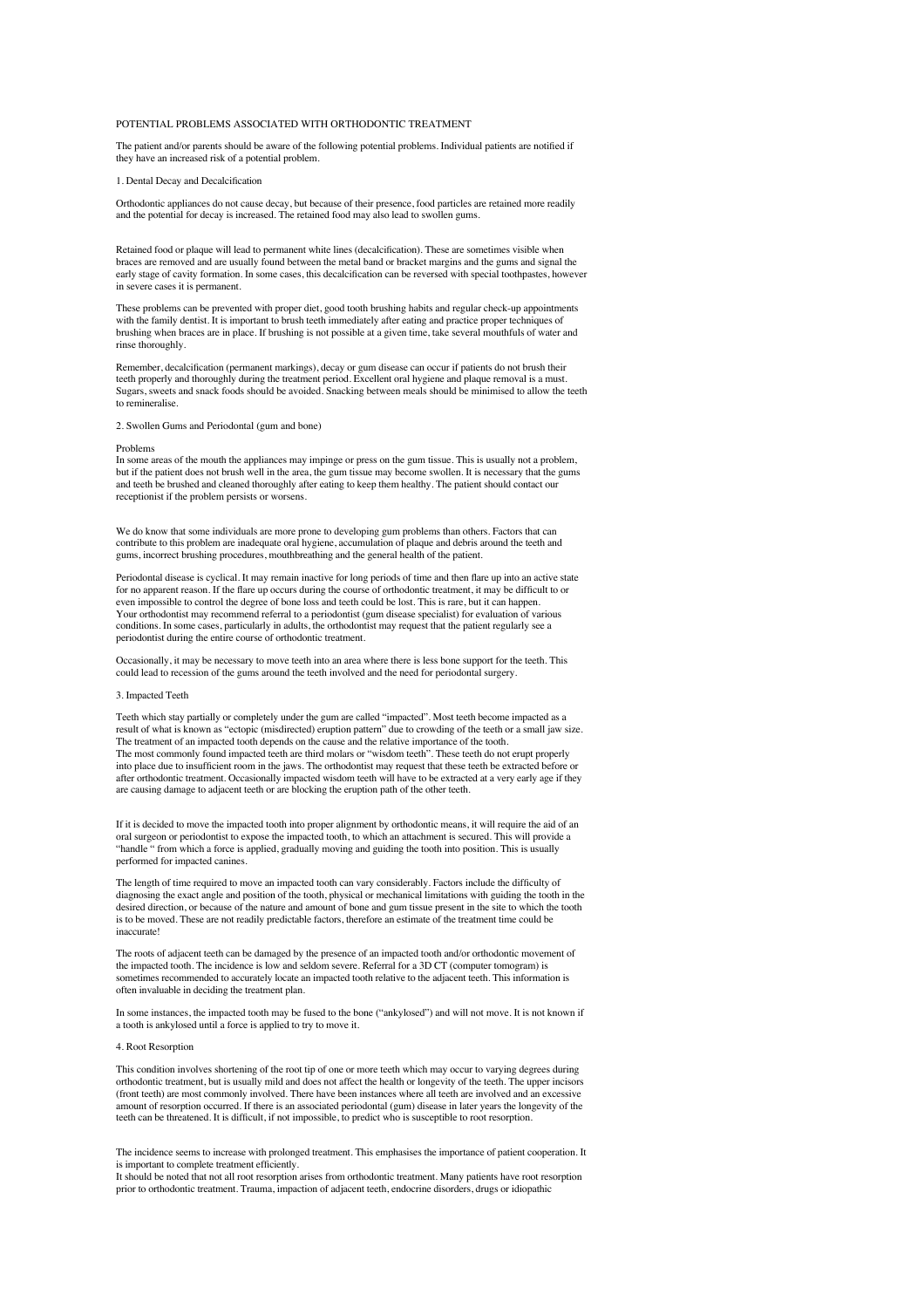# POTENTIAL PROBLEMS ASSOCIATED WITH ORTHODONTIC TREATMENT

The patient and/or parents should be aware of the following potential problems. Individual patients are notified if they have an increased risk of a potential problem.

# 1. Dental Decay and Decalcification

Orthodontic appliances do not cause decay, but because of their presence, food particles are retained more readily and the potential for decay is increased. The retained food may also lead to swollen gums.

Retained food or plaque will lead to permanent white lines (decalcification). These are sometimes visible when braces are removed and are usually found between the metal band or bracket margins and the gums and signal the early stage of cavity formation. In some cases, this decalcification can be reversed with special toothpastes, however in severe cases it is permanent.

These problems can be prevented with proper diet, good tooth brushing habits and regular check-up appointments with the family dentist. It is important to brush teeth immediately after eating and practice proper techniques of brushing when braces are in place. If brushing is not possible at a given time, take several mouthfuls of water and rinse thoroughly.

Remember, decalcification (permanent markings), decay or gum disease can occur if patients do not brush their teeth properly and thoroughly during the treatment period. Excellent oral hygiene and plaque removal is a must. Sugars, sweets and snack foods should be avoided. Snacking between meals should be minimised to allow the teeth to remineralise.

## 2. Swollen Gums and Periodontal (gum and bone)

#### Problems

In some areas of the mouth the appliances may impinge or press on the gum tissue. This is usually not a problem, but if the patient does not brush well in the area, the gum tissue may become swollen. It is necessary that the gums<br>and teeth be brushed and cleaned thoroughly after eating to keep them healthy. The patient should contact receptionist if the problem persists or worsens.

We do know that some individuals are more prone to developing gum problems than others. Factors that can contribute to this problem are inadequate oral hygiene, accumulation of plaque and debris around the teeth and gums, incorrect brushing procedures, mouthbreathing and the general health of the patient.

Periodontal disease is cyclical. It may remain inactive for long periods of time and then flare up into an active state for no apparent reason. If the flare up occurs during the course of orthodontic treatment, it may be difficult to or even impossible to control the degree of bone loss and teeth could be lost. This is rare, but it can happen. Your orthodontist may recommend referral to a periodontist (gum disease specialist) for evaluation of various conditions. In some cases, particularly in adults, the orthodontist may request that the patient regularly see a periodontist during the entire course of orthodontic treatment.

Occasionally, it may be necessary to move teeth into an area where there is less bone support for the teeth. This could lead to recession of the gums around the teeth involved and the need for periodontal surgery.

## 3. Impacted Teeth

Teeth which stay partially or completely under the gum are called "impacted". Most teeth become impacted as a result of what is known as "ectopic (misdirected) eruption pattern" due to crowding of the teeth or a small jaw size. The treatment of an impacted tooth depends on the cause and the relative importance of the tooth. The most commonly found impacted teeth are third molars or "wisdom teeth". These teeth do not erupt properly into place due to insufficient room in the jaws. The orthodontist may request that these teeth be extracted before or after orthodontic treatment. Occasionally impacted wisdom teeth will have to be extracted at a very early age if they are causing damage to adjacent teeth or are blocking the eruption path of the other teeth.

If it is decided to move the impacted tooth into proper alignment by orthodontic means, it will require the aid of an oral surgeon or periodontist to expose the impacted tooth, to which an attachment is secured. This will provide a "handle " from which a force is applied, gradually moving and guiding the tooth into position. This is usually performed for impacted canines.

The length of time required to move an impacted tooth can vary considerably. Factors include the difficulty of diagnosing the exact angle and position of the tooth, physical or mechanical limitations with guiding the tooth in the desired direction, or because of the nature and amount of bone and gum tissue present in the site to which the tooth is to be moved. These are not readily predictable factors, therefore an estimate of the treatment time could be inaccurate!

The roots of adjacent teeth can be damaged by the presence of an impacted tooth and/or orthodontic movement of the impacted tooth. The incidence is low and seldom severe. Referral for a 3D CT (computer tomogram) is sometimes recommended to accurately locate an impacted tooth relative to the adjacent teeth. This information is often invaluable in deciding the treatment plan.

In some instances, the impacted tooth may be fused to the bone ("ankylosed") and will not move. It is not known if a tooth is ankylosed until a force is applied to try to move it.

# 4. Root Resorption

This condition involves shortening of the root tip of one or more teeth which may occur to varying degrees during orthodontic treatment, but is usually mild and does not affect the health or longevity of the teeth. The upper incisors (front teeth) are most commonly involved. There have been instances where all teeth are involved and an excessive amount of resorption occurred. If there is an associated periodontal (gum) disease in later years the longevity of the teeth can be threatened. It is difficult, if not impossible, to predict who is susceptible to root resorption.

The incidence seems to increase with prolonged treatment. This emphasises the importance of patient cooperation. It is important to complete treatment efficiently.

It should be noted that not all root resorption arises from orthodontic treatment. Many patients have root resorption prior to orthodontic treatment. Trauma, impaction of adjacent teeth, endocrine disorders, drugs or idiopathic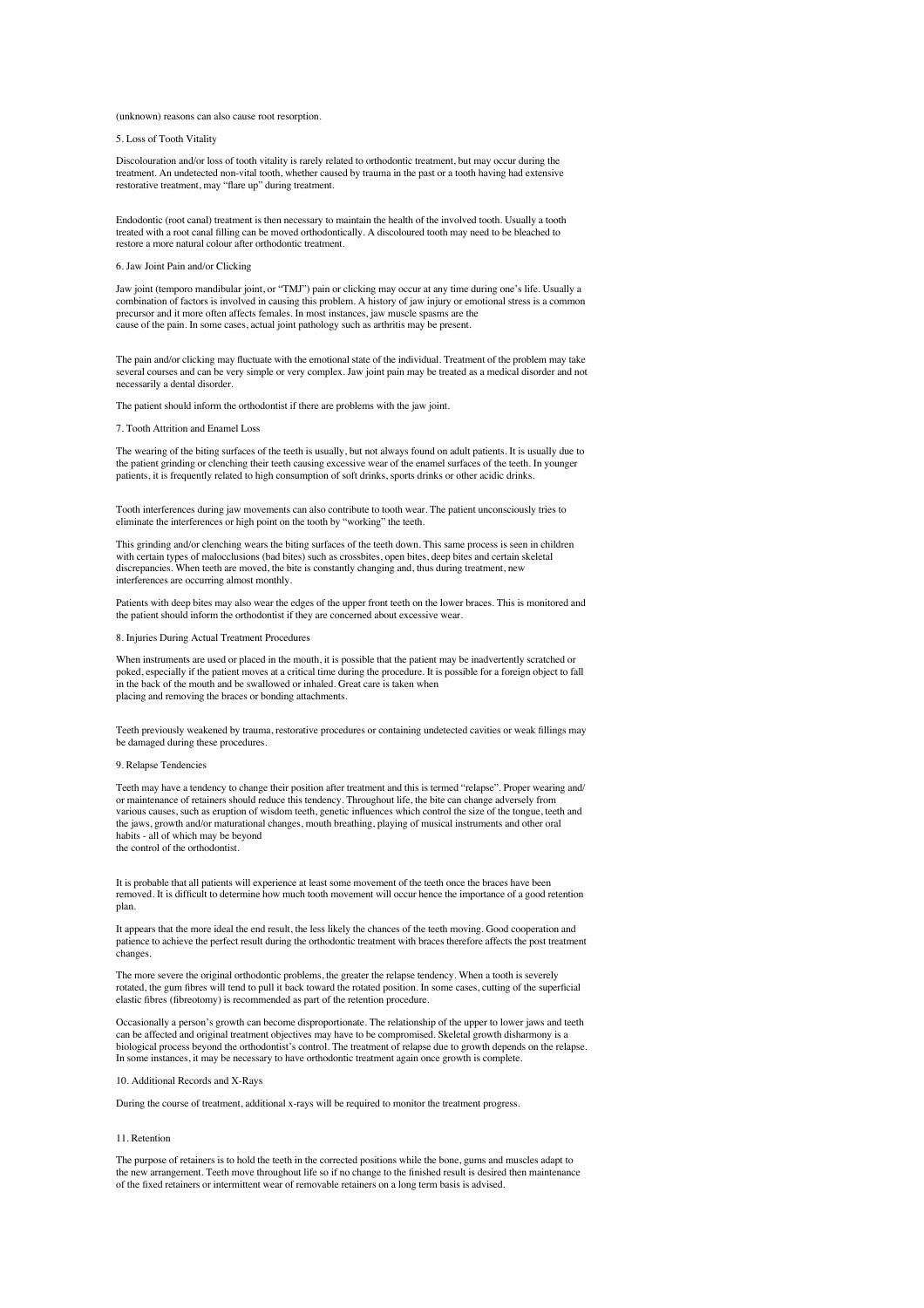## (unknown) reasons can also cause root resorption.

## 5. Loss of Tooth Vitality

Discolouration and/or loss of tooth vitality is rarely related to orthodontic treatment, but may occur during the treatment. An undetected non-vital tooth, whether caused by trauma in the past or a tooth having had extensive restorative treatment, may "flare up" during treatment.

Endodontic (root canal) treatment is then necessary to maintain the health of the involved tooth. Usually a tooth<br>treated with a root canal filling can be moved orthodontically. A discoloured tooth may need to be bleached restore a more natural colour after orthodontic treatment.

# 6. Jaw Joint Pain and/or Clicking

Jaw joint (temporo mandibular joint, or "TMJ") pain or clicking may occur at any time during one's life. Usually a combination of factors is involved in causing this problem. A history of jaw injury or emotional stress is a common combination of factors is involved in causing this problem. A history of jaw injury or emotional stress is precursor and it more often affects females. In most instances, jaw muscle spasms are the cause of the pain. In some cases, actual joint pathology such as arthritis may be present.

The pain and/or clicking may fluctuate with the emotional state of the individual. Treatment of the problem may take several courses and can be very simple or very complex. Jaw joint pain may be treated as a medical disorder and not necessarily a dental disorder.

The patient should inform the orthodontist if there are problems with the jaw joint.

#### 7. Tooth Attrition and Enamel Loss

The wearing of the biting surfaces of the teeth is usually, but not always found on adult patients. It is usually due to the patient grinding or clenching their teeth causing excessive wear of the enamel surfaces of the teeth. In younger patients, it is frequently related to high consumption of soft drinks, sports drinks or other acidic drinks

Tooth interferences during jaw movements can also contribute to tooth wear. The patient unconsciously tries to eliminate the interferences or high point on the tooth by "working" the teeth.

This grinding and/or clenching wears the biting surfaces of the teeth down. This same process is seen in children with certain types of malocclusions (bad bites) such as crossbites, open bites, deep bites and certain skeletal discrepancies. When teeth are moved, the bite is constantly changing and, thus during treatment, new interferences are occurring almost monthly.

Patients with deep bites may also wear the edges of the upper front teeth on the lower braces. This is monitored and the patient should inform the orthodontist if they are concerned about excessive wear.

## 8. Injuries During Actual Treatment Procedures

When instruments are used or placed in the mouth, it is possible that the patient may be inadvertently scratched or poked, especially if the patient moves at a critical time during the procedure. It is possible for a foreign object to fall in the back of the mouth and be swallowed or inhaled. Great care is taken when placing and removing the braces or bonding attachments.

Teeth previously weakened by trauma, restorative procedures or containing undetected cavities or weak fillings may be damaged during these procedures.

#### 9. Relapse Tendencies

Teeth may have a tendency to change their position after treatment and this is termed "relapse". Proper wearing and/ or maintenance of retainers should reduce this tendency. Throughout life, the bite can change adversely from various causes, such as eruption of wisdom teeth, genetic influences which control the size of the tongue, teeth and the jaws, growth and/or maturational changes, mouth breathing, playing of musical instruments and other oral habits - all of which may be beyond the control of the orthodontist.

It is probable that all patients will experience at least some movement of the teeth once the braces have been<br>removed. It is difficult to determine how much tooth movement will occur hence the importance of a good retenti plan.

It appears that the more ideal the end result, the less likely the chances of the teeth moving. Good cooperation and patience to achieve the perfect result during the orthodontic treatment with braces therefore affects the post treatment changes.

The more severe the original orthodontic problems, the greater the relapse tendency. When a tooth is severely rotated, the gum fibres will tend to pull it back toward the rotated position. In some cases, cutting of the superficial elastic fibres (fibreotomy) is recommended as part of the retention procedure.

Occasionally a person's growth can become disproportionate. The relationship of the upper to lower jaws and teeth can be affected and original treatment objectives may have to be compromised. Skeletal growth disharmony is a biological process beyond the orthodontist's control. The treatment of relapse due to growth depends on the relapse. In some instances, it may be necessary to have orthodontic treatment again once growth is complete.

# 10. Additional Records and X-Rays

During the course of treatment, additional x-rays will be required to monitor the treatment progress.

#### 11. Retention

The purpose of retainers is to hold the teeth in the corrected positions while the bone, gums and muscles adapt to the new arrangement. Teeth move throughout life so if no change to the finished result is desired then maintenance of the fixed retainers or intermittent wear of removable retainers on a long term basis is advised.